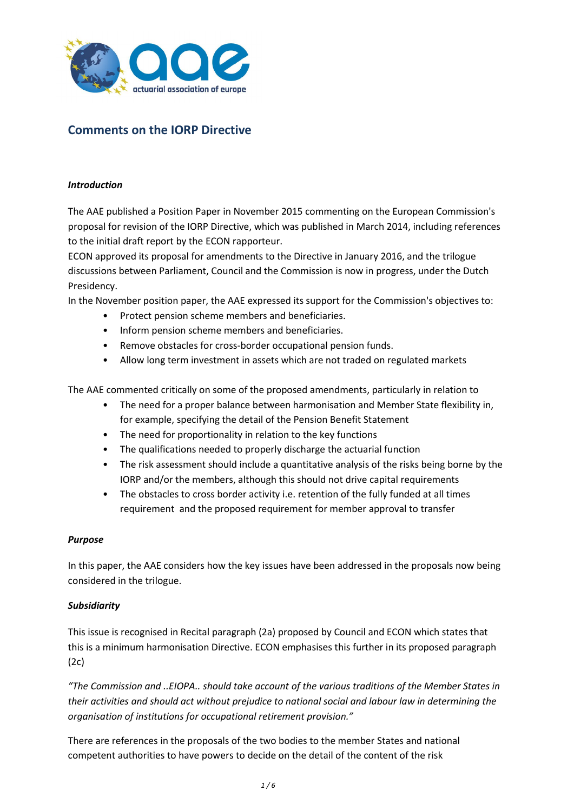

# **Comments on the IORP Directive**

#### *Introduction*

The AAE published a Position Paper in November 2015 commenting on the European Commission's proposal for revision of the IORP Directive, which was published in March 2014, including references to the initial draft report by the ECON rapporteur.

ECON approved its proposal for amendments to the Directive in January 2016, and the trilogue discussions between Parliament, Council and the Commission is now in progress, under the Dutch Presidency.

In the November position paper, the AAE expressed its support for the Commission's objectives to:

- Protect pension scheme members and beneficiaries.
- Inform pension scheme members and beneficiaries.
- Remove obstacles for cross-border occupational pension funds.
- Allow long term investment in assets which are not traded on regulated markets

The AAE commented critically on some of the proposed amendments, particularly in relation to

- The need for a proper balance between harmonisation and Member State flexibility in, for example, specifying the detail of the Pension Benefit Statement
- The need for proportionality in relation to the key functions
- The qualifications needed to properly discharge the actuarial function
- The risk assessment should include a quantitative analysis of the risks being borne by the IORP and/or the members, although this should not drive capital requirements
- The obstacles to cross border activity i.e. retention of the fully funded at all times requirement and the proposed requirement for member approval to transfer

#### *Purpose*

In this paper, the AAE considers how the key issues have been addressed in the proposals now being considered in the trilogue.

#### *Subsidiarity*

This issue is recognised in Recital paragraph (2a) proposed by Council and ECON which states that this is a minimum harmonisation Directive. ECON emphasises this further in its proposed paragraph (2c)

*"The Commission and ..EIOPA.. should take account of the various traditions of the Member States in their activities and should act without prejudice to national social and labour law in determining the organisation of institutions for occupational retirement provision."*

There are references in the proposals of the two bodies to the member States and national competent authorities to have powers to decide on the detail of the content of the risk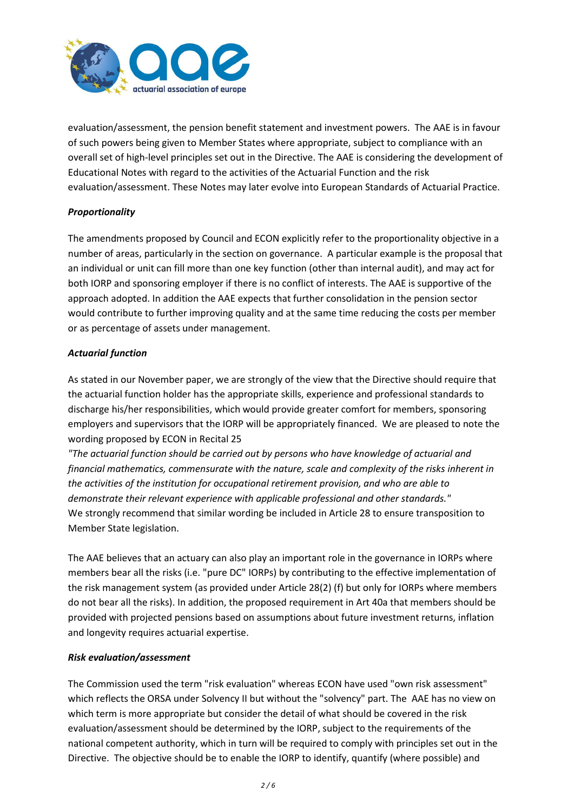

evaluation/assessment, the pension benefit statement and investment powers. The AAE is in favour of such powers being given to Member States where appropriate, subject to compliance with an overall set of high-level principles set out in the Directive. The AAE is considering the development of Educational Notes with regard to the activities of the Actuarial Function and the risk evaluation/assessment. These Notes may later evolve into European Standards of Actuarial Practice.

# *Proportionality*

The amendments proposed by Council and ECON explicitly refer to the proportionality objective in a number of areas, particularly in the section on governance. A particular example is the proposal that an individual or unit can fill more than one key function (other than internal audit), and may act for both IORP and sponsoring employer if there is no conflict of interests. The AAE is supportive of the approach adopted. In addition the AAE expects that further consolidation in the pension sector would contribute to further improving quality and at the same time reducing the costs per member or as percentage of assets under management.

## *Actuarial function*

As stated in our November paper, we are strongly of the view that the Directive should require that the actuarial function holder has the appropriate skills, experience and professional standards to discharge his/her responsibilities, which would provide greater comfort for members, sponsoring employers and supervisors that the IORP will be appropriately financed. We are pleased to note the wording proposed by ECON in Recital 25

*"The actuarial function should be carried out by persons who have knowledge of actuarial and financial mathematics, commensurate with the nature, scale and complexity of the risks inherent in the activities of the institution for occupational retirement provision, and who are able to demonstrate their relevant experience with applicable professional and other standards."* We strongly recommend that similar wording be included in Article 28 to ensure transposition to Member State legislation.

The AAE believes that an actuary can also play an important role in the governance in IORPs where members bear all the risks (i.e. "pure DC" IORPs) by contributing to the effective implementation of the risk management system (as provided under Article 28(2) (f) but only for IORPs where members do not bear all the risks). In addition, the proposed requirement in Art 40a that members should be provided with projected pensions based on assumptions about future investment returns, inflation and longevity requires actuarial expertise.

## *Risk evaluation/assessment*

The Commission used the term "risk evaluation" whereas ECON have used "own risk assessment" which reflects the ORSA under Solvency II but without the "solvency" part. The AAE has no view on which term is more appropriate but consider the detail of what should be covered in the risk evaluation/assessment should be determined by the IORP, subject to the requirements of the national competent authority, which in turn will be required to comply with principles set out in the Directive. The objective should be to enable the IORP to identify, quantify (where possible) and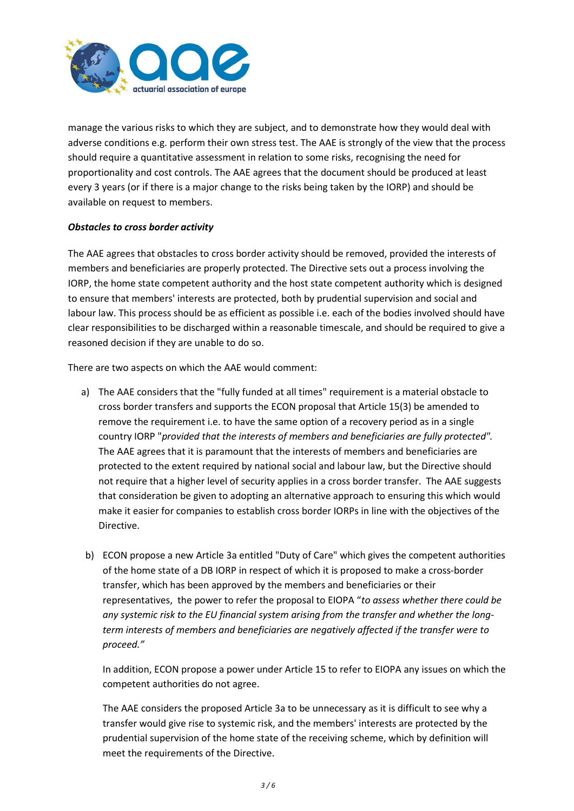

manage the various risks to which they are subject, and to demonstrate how they would deal with adverse conditions e.g. perform their own stress test. The AAE is strongly of the view that the process should require a quantitative assessment in relation to some risks, recognising the need for proportionality and cost controls. The AAE agrees that the document should be produced at least every 3 years (or if there is a major change to the risks being taken by the IORP) and should be available on request to members.

## *Obstacles to cross border activity*

The AAE agrees that obstacles to cross border activity should be removed, provided the interests of members and beneficiaries are properly protected. The Directive sets out a process involving the IORP, the home state competent authority and the host state competent authority which is designed to ensure that members' interests are protected, both by prudential supervision and social and labour law. This process should be as efficient as possible i.e. each of the bodies involved should have clear responsibilities to be discharged within a reasonable timescale, and should be required to give a reasoned decision if they are unable to do so.

There are two aspects on which the AAE would comment:

- a) The AAE considers that the "fully funded at all times" requirement is a material obstacle to cross border transfers and supports the ECON proposal that Article 15(3) be amended to remove the requirement i.e. to have the same option of a recovery period as in a single country IORP "*provided that the interests of members and beneficiaries are fully protected".*  The AAE agrees that it is paramount that the interests of members and beneficiaries are protected to the extent required by national social and labour law, but the Directive should not require that a higher level of security applies in a cross border transfer. The AAE suggests that consideration be given to adopting an alternative approach to ensuring this which would make it easier for companies to establish cross border IORPs in line with the objectives of the Directive.
- b) ECON propose a new Article 3a entitled "Duty of Care" which gives the competent authorities of the home state of a DB IORP in respect of which it is proposed to make a cross-border transfer, which has been approved by the members and beneficiaries or their representatives, the power to refer the proposal to EIOPA "*to assess whether there could be any systemic risk to the EU financial system arising from the transfer and whether the longterm interests of members and beneficiaries are negatively affected if the transfer were to proceed."*

In addition, ECON propose a power under Article 15 to refer to EIOPA any issues on which the competent authorities do not agree.

The AAE considers the proposed Article 3a to be unnecessary as it is difficult to see why a transfer would give rise to systemic risk, and the members' interests are protected by the prudential supervision of the home state of the receiving scheme, which by definition will meet the requirements of the Directive.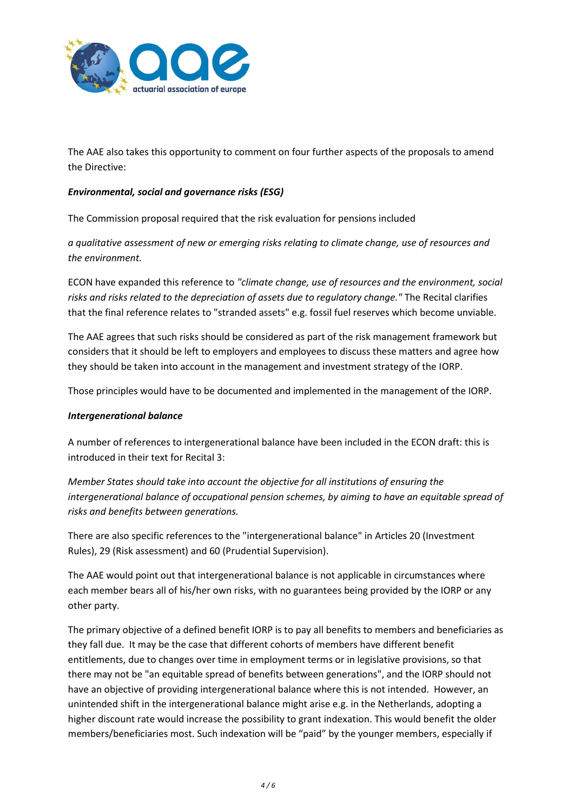

The AAE also takes this opportunity to comment on four further aspects of the proposals to amend the Directive:

#### *Environmental, social and governance risks (ESG)*

The Commission proposal required that the risk evaluation for pensions included

*a qualitative assessment of new or emerging risks relating to climate change, use of resources and the environment.*

ECON have expanded this reference to *"climate change, use of resources and the environment, social risks and risks related to the depreciation of assets due to regulatory change."* The Recital clarifies that the final reference relates to "stranded assets" e.g. fossil fuel reserves which become unviable.

The AAE agrees that such risks should be considered as part of the risk management framework but considers that it should be left to employers and employees to discuss these matters and agree how they should be taken into account in the management and investment strategy of the IORP.

Those principles would have to be documented and implemented in the management of the IORP.

#### *Intergenerational balance*

A number of references to intergenerational balance have been included in the ECON draft: this is introduced in their text for Recital 3:

*Member States should take into account the objective for all institutions of ensuring the intergenerational balance of occupational pension schemes, by aiming to have an equitable spread of risks and benefits between generations.*

There are also specific references to the "intergenerational balance" in Articles 20 (Investment Rules), 29 (Risk assessment) and 60 (Prudential Supervision).

The AAE would point out that intergenerational balance is not applicable in circumstances where each member bears all of his/her own risks, with no guarantees being provided by the IORP or any other party.

The primary objective of a defined benefit IORP is to pay all benefits to members and beneficiaries as they fall due. It may be the case that different cohorts of members have different benefit entitlements, due to changes over time in employment terms or in legislative provisions, so that there may not be "an equitable spread of benefits between generations", and the IORP should not have an objective of providing intergenerational balance where this is not intended. However, an unintended shift in the intergenerational balance might arise e.g. in the Netherlands, adopting a higher discount rate would increase the possibility to grant indexation. This would benefit the older members/beneficiaries most. Such indexation will be "paid" by the younger members, especially if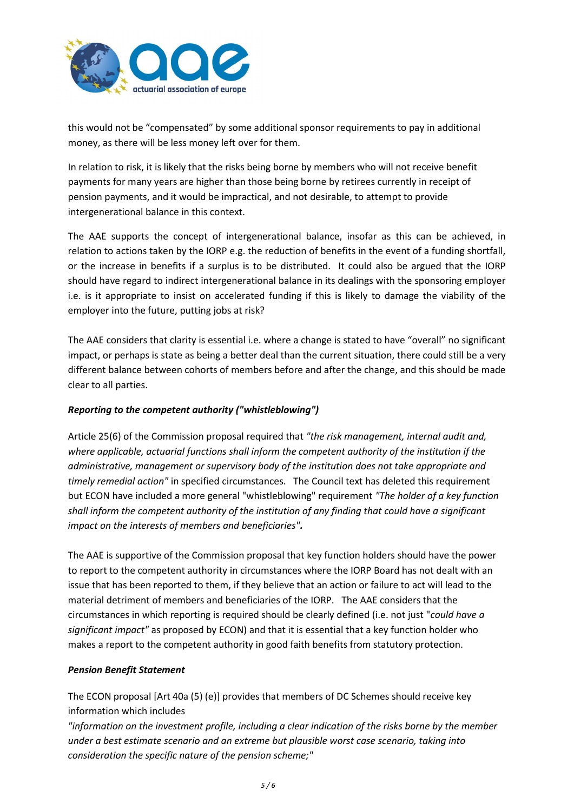

this would not be "compensated" by some additional sponsor requirements to pay in additional money, as there will be less money left over for them.

In relation to risk, it is likely that the risks being borne by members who will not receive benefit payments for many years are higher than those being borne by retirees currently in receipt of pension payments, and it would be impractical, and not desirable, to attempt to provide intergenerational balance in this context.

The AAE supports the concept of intergenerational balance, insofar as this can be achieved, in relation to actions taken by the IORP e.g. the reduction of benefits in the event of a funding shortfall, or the increase in benefits if a surplus is to be distributed. It could also be argued that the IORP should have regard to indirect intergenerational balance in its dealings with the sponsoring employer i.e. is it appropriate to insist on accelerated funding if this is likely to damage the viability of the employer into the future, putting jobs at risk?

The AAE considers that clarity is essential i.e. where a change is stated to have "overall" no significant impact, or perhaps is state as being a better deal than the current situation, there could still be a very different balance between cohorts of members before and after the change, and this should be made clear to all parties.

## *Reporting to the competent authority ("whistleblowing")*

Article 25(6) of the Commission proposal required that *"the risk management, internal audit and, where applicable, actuarial functions shall inform the competent authority of the institution if the administrative, management or supervisory body of the institution does not take appropriate and timely remedial action"* in specified circumstances. The Council text has deleted this requirement but ECON have included a more general "whistleblowing" requirement *"The holder of a key function shall inform the competent authority of the institution of any finding that could have a significant impact on the interests of members and beneficiaries".* 

The AAE is supportive of the Commission proposal that key function holders should have the power to report to the competent authority in circumstances where the IORP Board has not dealt with an issue that has been reported to them, if they believe that an action or failure to act will lead to the material detriment of members and beneficiaries of the IORP. The AAE considers that the circumstances in which reporting is required should be clearly defined (i.e. not just "*could have a significant impact"* as proposed by ECON) and that it is essential that a key function holder who makes a report to the competent authority in good faith benefits from statutory protection.

## *Pension Benefit Statement*

The ECON proposal [Art 40a (5) (e)] provides that members of DC Schemes should receive key information which includes

*"information on the investment profile, including a clear indication of the risks borne by the member under a best estimate scenario and an extreme but plausible worst case scenario, taking into consideration the specific nature of the pension scheme;"*